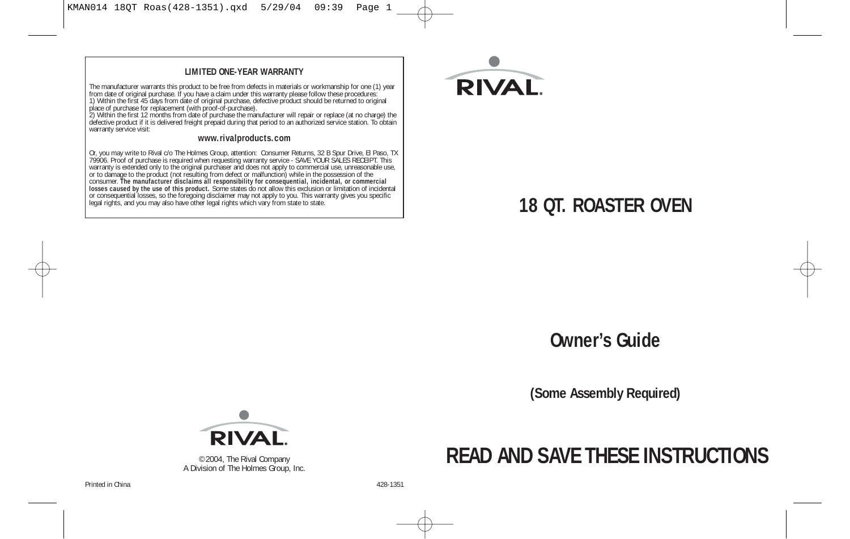#### **LIMITED ONE-YEAR WARRANTY**

The manufacturer warrants this product to be free from defects in materials or workmanship for one (1) year from date of original purchase. If you have a claim under this warranty please follow these procedures:<br>1) Within the first 45 days from date of original purchase, defective product should be returned to original<br>place of

2) Within the first 12 months from date of purchase the manufacturer will repair or replace (at no charge) the<br>defective product if it is delivered freight prepaid during that period to an authorized service station. To ob warranty service visit:

#### **www.rivalproducts.com**

Or, you may write to Rival c/o The Holmes Group, attention: Consumer Returns, 32 B Spur Drive, EI Paso, TX<br>7996. Proof of purchase is required when requesting warranty service - SAVE YOUR SALES RECEIPT. This warranty is ex



## **Owner's Guide**

**(Some Assembly Required)**



©2004, The Rival Company A Division of The Holmes Group, Inc.

# **READ AND SAVE THESE INSTRUCTIONS**

Printed in China 428-1351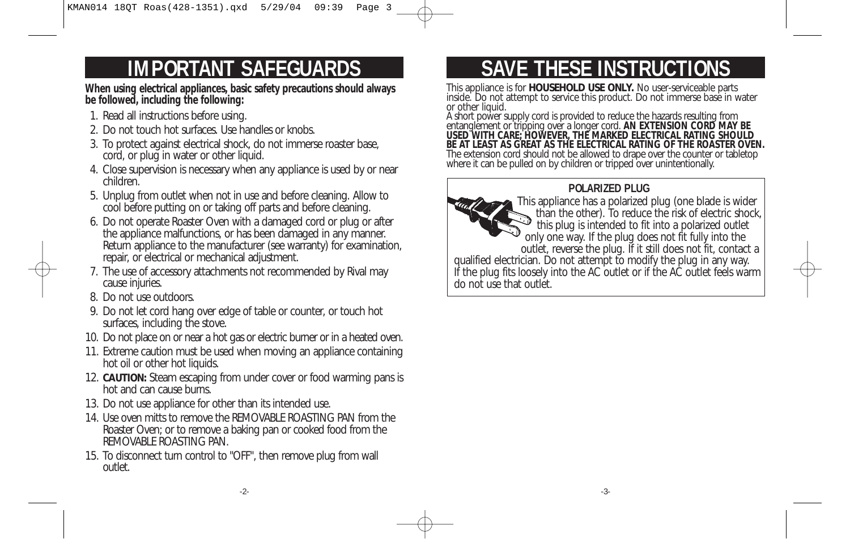**When using electrical appliances, basic safety precautions should always be followed, including the following:** 

- 1. Read all instructions before using.
- 2. Do not touch hot surfaces. Use handles or knobs.
- 3. To protect against electrical shock, do not immerse roaster base, cord, or plug in water or other liquid.
- 4. Close supervision is necessary when any appliance is used by or near children.
- 5. Unplug from outlet when not in use and before cleaning. Allow to cool before putting on or taking off parts and before cleaning.
- 6. Do not operate Roaster Oven with a damaged cord or plug or after the appliance malfunctions, or has been damaged in any manner. Return appliance to the manufacturer (see warranty) for examination, repair, or electrical or mechanical adjustment.
- 7. The use of accessory attachments not recommended by Rival may cause injuries.
- 8. Do not use outdoors.
- 9. Do not let cord hang over edge of table or counter, or touch hot surfaces, including the stove.
- 10. Do not place on or near a hot gas or electric burner or in a heated oven.
- 11. Extreme caution must be used when moving an appliance containing hot oil or other hot liquids.
- 12. **CAUTION:** Steam escaping from under cover or food warming pans is hot and can cause burns.
- 13. Do not use appliance for other than its intended use.
- 14. Use oven mitts to remove the REMOVABLE ROASTING PAN from the Roaster Oven; or to remove a baking pan or cooked food from the REMOVABLE ROASTING PAN.
- 15. To disconnect turn control to "OFF", then remove plug from wall outlet.

# **IMPORTANT SAFEGUARDS THESE INSTRUCTIONS**

This appliance is for **HOUSEHOLD USE ONLY.** No user-serviceable parts inside. Do not attempt to service this product. Do not immerse base in water or other liquid.

A short power supply cord is provided to reduce the hazards resulting from entanglement or tripping over a longer cord. **AN EXTENSION CORD MAY BE USED WITH CARE; HOWEVER, THE MARKED ELECTRICAL RATING SHOULD BE AT LEAST AS GREAT AS THE ELECTRICAL RATING OF THE ROASTER OVEN.** The extension cord should not be allowed to drape over the counter or tabletop where it can be pulled on by children or tripped over unintentionally.

### **POLARIZED PLUG**

This appliance has a polarized plug (one blade is wider than the other). To reduce the risk of electric shock, this plug is intended to fit into a polarized outlet only one way. If the plug does not fit fully into the outlet, reverse the plug. If it still does not fit, contact a qualified electrician. Do not attempt to modify the plug in any way. If the plug fits loosely into the AC outlet or if the AC outlet feels warm do not use that outlet.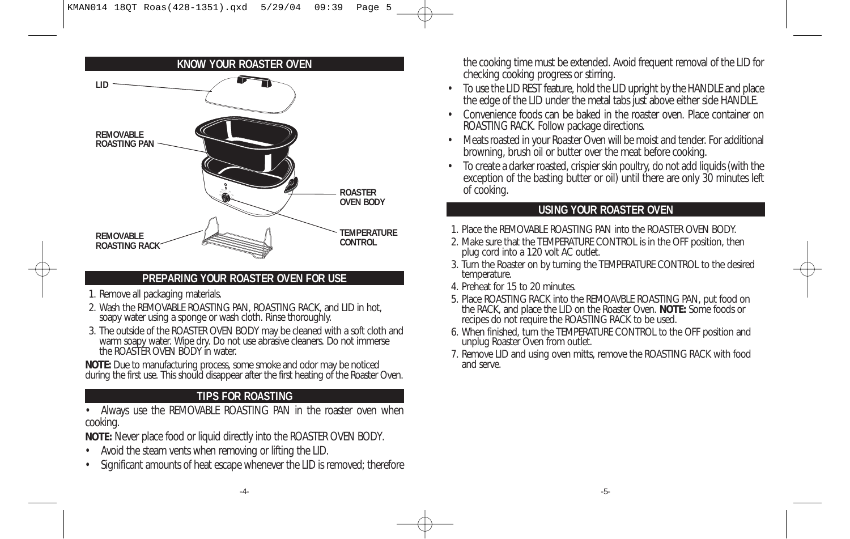

### **PREPARING YOUR ROASTER OVEN FOR USE**

- 1. Remove all packaging materials.
- 2. Wash the REMOVABLE ROASTING PAN, ROASTING RACK, and LID in hot, soapy water using a sponge or wash cloth. Rinse thoroughly.
- 3. The outside of the ROASTER OVEN BODY may be cleaned with a soft cloth and warm soapy water. Wipe dry. Do not use abrasive cleaners. Do not immerse the ROASTER OVEN BODY in water.

**NOTE:** Due to manufacturing process, some smoke and odor may be noticed during the first use. This should disappear after the first heating of the Roaster Oven.

### **TIPS FOR ROASTING**

• Always use the REMOVABLE ROASTING PAN in the roaster oven when cooking.

**NOTE:** Never place food or liquid directly into the ROASTER OVEN BODY.

- Avoid the steam vents when removing or lifting the LID.
- Significant amounts of heat escape whenever the LID is removed; therefore

the cooking time must be extended. Avoid frequent removal of the LID for checking cooking progress or stirring.

- To use the LID REST feature, hold the LID upright by the HANDLE and place the edge of the LID under the metal tabs just above either side HANDLE.
- Convenience foods can be baked in the roaster oven. Place container on ROASTING RACK. Follow package directions.
- Meats roasted in your Roaster Oven will be moist and tender. For additional browning, brush oil or butter over the meat before cooking.
- To create a darker roasted, crispier skin poultry, do not add liquids (with the exception of the basting butter or oil) until there are only 30 minutes left of cooking.

### **USING YOUR ROASTER OVEN**

1. Place the REMOVABLE ROASTING PAN into the ROASTER OVEN BODY.

2. Make sure that the TEMPERATURE CONTROL is in the OFF position, then plug cord into a 120 volt AC outlet.

- 3. Turn the Roaster on by turning the TEMPERATURE CONTROL to the desired temperature.
- 4. Preheat for 15 to 20 minutes.
- 5. Place ROASTING RACK into the REMOAVBLE ROASTING PAN, put food on the RACK, and place the LID on the Roaster Oven. **NOTE:** Some foods or recipes do not require the ROASTING RACK to be used.
- 6. When finished, turn the TEMPERATURE CONTROL to the OFF position and unplug Roaster Oven from outlet.
- 7. Remove LID and using oven mitts, remove the ROASTING RACK with food and serve.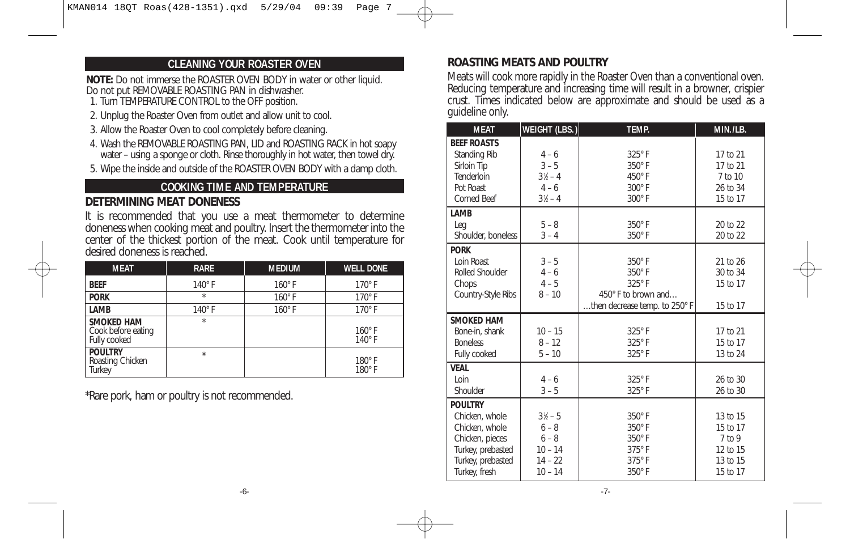### **CLEANING YOUR ROASTER OVEN**

**NOTE:** Do not immerse the ROASTER OVEN BODY in water or other liquid. Do not put REMOVABLE ROASTING PAN in dishwasher.

- 1. Turn TEMPERATURE CONTROL to the OFF position.
- 2. Unplug the Roaster Oven from outlet and allow unit to cool.
- 3. Allow the Roaster Oven to cool completely before cleaning.
- 4. Wash the REMOVABLE ROASTING PAN, LID and ROASTING RACK in hot soapy water – using a sponge or cloth. Rinse thoroughly in hot water, then towel dry.
- 5. Wipe the inside and outside of the ROASTER OVEN BODY with a damp cloth.

### **COOKING TIME AND TEMPERATURE**

### **DETERMINING MEAT DONENESS**

It is recommended that you use a meat thermometer to determine doneness when cooking meat and poultry. Insert the thermometer into the center of the thickest portion of the meat. Cook until temperature for desired doneness is reached.

| <b>MEAT</b>                                             | <b>RARE</b>   | <b>MEDIUM</b> | <b>WELL DONE</b>               |
|---------------------------------------------------------|---------------|---------------|--------------------------------|
| <b>BEEF</b>                                             | $140^\circ$ F | $160^\circ$ F | $170^\circ$ F                  |
| <b>PORK</b>                                             | $\star$       | $160^\circ$ F | $170^\circ$ F                  |
| LAMB                                                    | $140^\circ$ F | $160^\circ$ F | $170^\circ$ F                  |
| <b>SMOKED HAM</b><br>Cook before eating<br>Fully cooked | $\star$       |               | $160^\circ$ F<br>$140^\circ$ F |
| <b>POULTRY</b><br>Roasting Chicken<br>Turkey            | $\star$       |               | 180°F<br>180°F                 |

\*Rare pork, ham or poultry is not recommended.

### **ROASTING MEATS AND POULTRY**

Meats will cook more rapidly in the Roaster Oven than a conventional oven. Reducing temperature and increasing time will result in a browner, crispier crust. Times indicated below are approximate and should be used as a guideline only.

| <b>MEAT</b>                          | WEIGHT (LBS.)      | <b>TEMP.</b>                   | MIN./LB.             |
|--------------------------------------|--------------------|--------------------------------|----------------------|
| <b>BEEF ROASTS</b>                   |                    |                                |                      |
| Standing Rib                         | $4 - 6$            | 325°F                          | 17 to 21             |
| Sirloin Tip                          | $3 - 5$            | $350^\circ$ F                  | 17 to 21             |
| Tenderloin                           | $3\frac{1}{2} - 4$ | 450°F                          | 7 to 10              |
| Pot Roast<br><b>Corned Beef</b>      | $4 - 6$            | 300°F<br>$300^\circ$ F         | 26 to 34             |
|                                      | $3\frac{1}{2} - 4$ |                                | 15 to 17             |
| LAMB                                 |                    |                                |                      |
| Leg                                  | $5 - 8$<br>$3 - 4$ | $350^\circ$ F<br>$350^\circ$ F | 20 to 22             |
| Shoulder, boneless                   |                    |                                | 20 to 22             |
| <b>PORK</b>                          |                    |                                |                      |
| Loin Roast<br><b>Rolled Shoulder</b> | $3 - 5$<br>$4 - 6$ | $350^\circ$ F<br>$350^\circ$ F | 21 to 26<br>30 to 34 |
| Chops                                | $4 - 5$            | 325°F                          | 15 to 17             |
| Country-Style Ribs                   | $8 - 10$           | 450° F to brown and            |                      |
|                                      |                    | then decrease temp. to 250° F  | 15 to 17             |
| <b>SMOKED HAM</b>                    |                    |                                |                      |
| Bone-in, shank                       | $10 - 15$          | 325°F                          | 17 to 21             |
| <b>Boneless</b>                      | $8 - 12$           | 325°F                          | 15 to 17             |
| Fully cooked                         | $5 - 10$           | 325°F                          | 13 to 24             |
| <b>VEAL</b>                          |                    |                                |                      |
| Loin                                 | $4 - 6$            | 325°F                          | 26 to 30             |
| Shoulder                             | $3 - 5$            | 325°F                          | 26 to 30             |
| <b>POULTRY</b>                       |                    |                                |                      |
| Chicken, whole                       | $3\frac{1}{6} - 5$ | $350^\circ$ F                  | 13 to 15             |
| Chicken, whole                       | $6 - 8$            | $350^\circ$ F                  | 15 to 17             |
| Chicken, pieces                      | $6 - 8$            | 350°F                          | $7$ to 9             |
| Turkey, prebasted                    | $10 - 14$          | $375^\circ$ F                  | 12 to 15             |
| Turkey, prebasted                    | $14 - 22$          | $375^\circ$ F                  | 13 to 15             |
| Turkey, fresh                        | $10 - 14$          | $350^\circ$ F                  | 15 to 17             |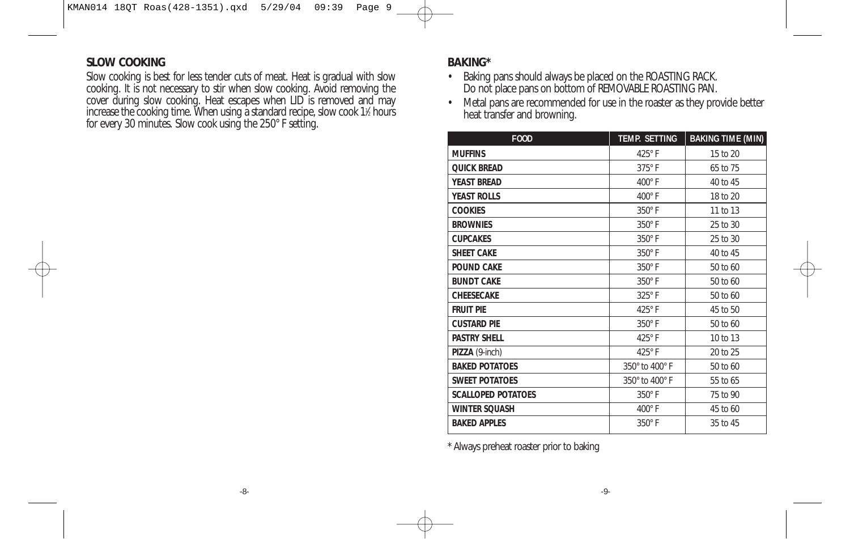### **SLOW COOKING**

Slow cooking is best for less tender cuts of meat. Heat is gradual with slow cooking. It is not necessary to stir when slow cooking. Avoid removing the cover during slow cooking. Heat escapes when LID is removed and may increase the cooking time. When using a standard recipe, slow cook 11 ⁄2 hours for every 30 minutes. Slow cook using the 250° F setting.

### **BAKING\***

- Baking pans should always be placed on the ROASTING RACK. Do not place pans on bottom of REMOVABLE ROASTING PAN.
- Metal pans are recommended for use in the roaster as they provide better heat transfer and browning.

| <b>FOOD</b>               | <b>TEMP. SETTING</b> | <b>BAKING TIME (MIN)</b> |
|---------------------------|----------------------|--------------------------|
| <b>MUFFINS</b>            | 425°F                | 15 to 20                 |
| <b>QUICK BREAD</b>        | $375^\circ$ F        | 65 to 75                 |
| <b>YEAST BREAD</b>        | $400^\circ$ F        | 40 to 45                 |
| <b>YEAST ROLLS</b>        | $400^\circ$ F        | 18 to 20                 |
| <b>COOKIES</b>            | 350°F                | 11 to 13                 |
| <b>BROWNIES</b>           | 350°F                | 25 to 30                 |
| <b>CUPCAKES</b>           | $350^\circ$ F        | 25 to 30                 |
| <b>SHEET CAKE</b>         | $350^\circ$ F        | 40 to 45                 |
| <b>POUND CAKE</b>         | 350°F                | 50 to 60                 |
| <b>BUNDT CAKE</b>         | $350^\circ$ F        | 50 to 60                 |
| <b>CHEESECAKE</b>         | 325°F                | 50 to 60                 |
| <b>FRUIT PIE</b>          | 425°F                | 45 to 50                 |
| <b>CUSTARD PIE</b>        | 350°F                | 50 to 60                 |
| <b>PASTRY SHELL</b>       | 425°F                | 10 to 13                 |
| PIZZA (9-inch)            | 425°F                | 20 to 25                 |
| <b>BAKED POTATOES</b>     | 350° to 400° F       | 50 to 60                 |
| <b>SWEET POTATOES</b>     | 350° to 400° F       | 55 to 65                 |
| <b>SCALLOPED POTATOES</b> | $350^\circ$ F        | 75 to 90                 |
| <b>WINTER SQUASH</b>      | $400^\circ$ F        | 45 to 60                 |
| <b>BAKED APPLES</b>       | $350^\circ$ F        | 35 to 45                 |

\* Always preheat roaster prior to baking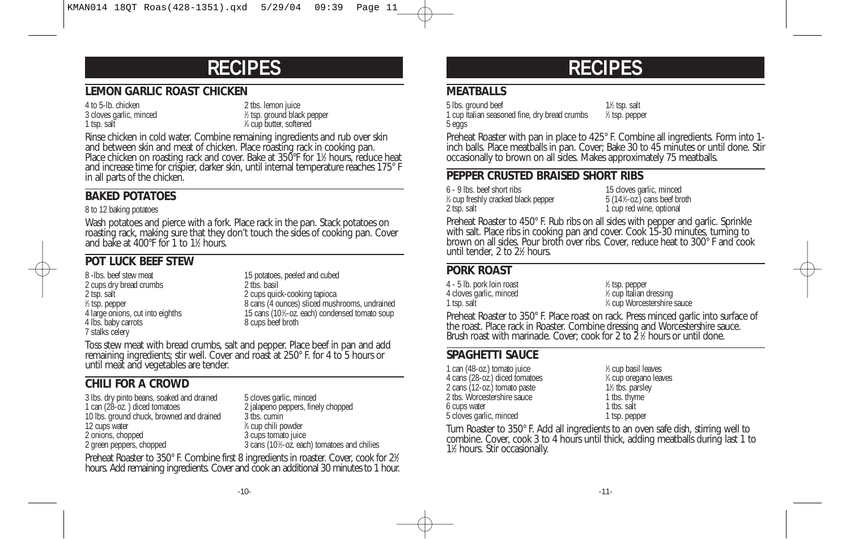# **RECIPES**

### **LEMON GARLIC ROAST CHICKEN**

4 to 5-lb. chicken 2 tbs. lemon juice 3 cloves garlic, minced <sup>1</sup> 1 tsp. salt

⁄2 tsp. ground black pepper ⁄4 cup butter, softened

Rinse chicken in cold water. Combine remaining ingredients and rub over skin and between skin and meat of chicken. Place roasting rack in cooking pan. Place chicken on roasting rack and cover. Bake at 350°F for 1½ hours, reduce heat and increase time for crispier, darker skin, until internal temperature reaches 175° F in all parts of the chicken.

### **BAKED POTATOES**

#### 8 to 12 baking potatoes

Wash potatoes and pierce with a fork. Place rack in the pan. Stack potatoes on roasting rack, making sure that they don't touch the sides of cooking pan. Cover and bake at 400°F for 1 to 11 ⁄2 hours.

### **POT LUCK BEEF STEW**

2 cups dry bread crumbs<br>2 tsp. salt  $%$  tsp. pepper 4 large onions, cut into eighths 15 cans (101/<sub>2</sub>-oz.<br>4 lbs. baby carrots 15 cans beef broth 4 lbs. baby carrots 7 stalks celery

8 -lbs. beef stew meat<br>
2 cups dry bread crumbs<br>
2 cups dry bread crumbs<br>
2 ths basil 2 cups quick-cooking tapioca 8 cans (4 ounces) sliced mushrooms, undrained 15 cans (101/2-oz. each) condensed tomato soup

Toss stew meat with bread crumbs, salt and pepper. Place beef in pan and add remaining ingredients; stir well. Cover and roast at 250° F. for 4 to 5 hours or until meat and vegetables are tender.

### **CHILI FOR A CROWD**

3 lbs. dry pinto beans, soaked and drained 5 cloves garlic, minced<br>1 can (28-oz.) diced tomatoes 2 jalapeno peppers, fine 10 lbs. ground chuck, browned and drained 12 cups water<br>2 onions, chopped 2 green peppers, chopped

2 jalapeno peppers, finely chopped  $3$  ths.  $c$ umin ⁄4 cup chili powder 3 cups tomato juice ⁄2-oz. each) tomatoes and chilies

Preheat Roaster to 350° F. Combine first 8 ingredients in roaster. Cover, cook for 2½ hours. Add remaining ingredients. Cover and cook an additional 30 minutes to 1 hour.

# **RECIPES**

### **MEATBALLS**

5 lbs. ground beef ⁄2 tsp. salt 1 cup Italian seasoned fine, dry bread crumbs <sup>1</sup> ⁄2 tsp. pepper 5 eggs

Preheat Roaster with pan in place to 425° F. Combine all ingredients. Form into 1 inch balls. Place meatballs in pan. Cover; Bake 30 to 45 minutes or until done. Stir occasionally to brown on all sides. Makes approximately 75 meatballs.

### **PEPPER CRUSTED BRAISED SHORT RIBS**

6 - 9 lbs. beef short ribs 15 cloves garlic, minced % cup freshly cracked black pepper 5 (141 2 tsp. salt 1 cup red wine, optional

 $5(14\text{%}-oz.)$  cans beef broth

Preheat Roaster to 450° F. Rub ribs on all sides with pepper and garlic. Sprinkle with salt. Place ribs in cooking pan and cover. Cook 15-30 minutes, turning to brown on all sides. Pour broth over ribs. Cover, reduce heat to 300° F and cook until tender, 2 to 21 ⁄2 hours.

### **PORK ROAST**

4 - 5 lb. pork loin roast <sup>1</sup> 4 cloves garlic, minced 1 tsp. salt

⁄2 tsp. pepper ⁄2 cup Italian dressing ⁄4 cup Worcestershire sauce

Preheat Roaster to 350° F. Place roast on rack. Press minced garlic into surface of the roast. Place rack in Roaster. Combine dressing and Worcestershire sauce. Brush roast with marinade. Cover; cook for 2 to 2 ½ hours or until done.

### **SPAGHETTI SAUCE**

1 can (48-oz.) tomato juice 4 cans (28-oz.) diced tomatoes <sup>1</sup> 2 cans (12-oz.) tomato paste 11/2 tbs. parsless 12 tbs. Worcestershire sauce 11/2 tbs. thyme 2 tbs. Worcestershire sauce 1 tbs. thyne 6 cups water 1 tbs. salt 6 cups water 5 cloves garlic, minced 1 tsp. pepper

⁄3 cup basil leaves ⁄4 cup oregano leaves 1<sup>1</sup>⁄<sub>2</sub> tbs. parsley

Turn Roaster to 350° F. Add all ingredients to an oven safe dish, stirring well to combine. Cover, cook 3 to 4 hours until thick, adding meatballs during last 1 to 11 ⁄2 hours. Stir occasionally.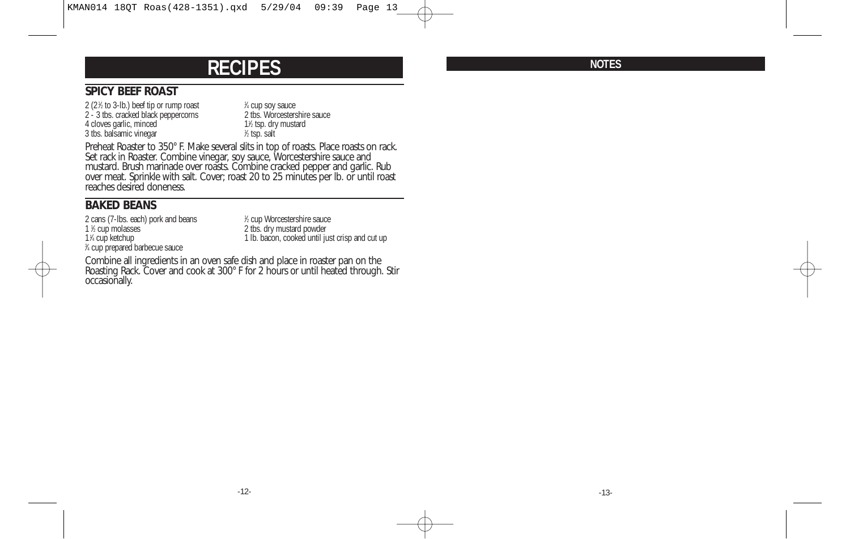## **RECIPES**

### **SPICY BEEF ROAST**

2 (2 $%$  to 3-lb.) beef tip or rump roast  $1$ 2 - 3 tbs. cracked black peppercorns 2 tbs. Worcestershire sauce 4 cloves garlic, minced 3 tbs. balsamic vinegar <sup>1</sup>

<sup>1/4</sup> cup soy sauce<br>2 tbs. Worcestershire sauce 1<sup>/2</sup> tsp. dry mustard ⁄2 tsp. salt

Preheat Roaster to 350° F. Make several slits in top of roasts. Place roasts on rack. Set rack in Roaster. Combine vinegar, soy sauce, Worcestershire sauce and mustard. Brush marinade over roasts. Combine cracked pepper and garlic. Rub over meat. Sprinkle with salt. Cover; roast 20 to 25 minutes per lb. or until roast reaches desired doneness.

### **BAKED BEANS**

2 cans (7-lbs. each) pork and beans 1 % cup molasses 11 3 ⁄4 cup prepared barbecue sauce

⁄2 cup Worcestershire sauce 2 tbs. dry mustard powder 1 lb. bacon, cooked until just crisp and cut up

Combine all ingredients in an oven safe dish and place in roaster pan on the Roasting Rack. Cover and cook at 300° F for 2 hours or until heated through. Stir occasionally.

**NOTES**